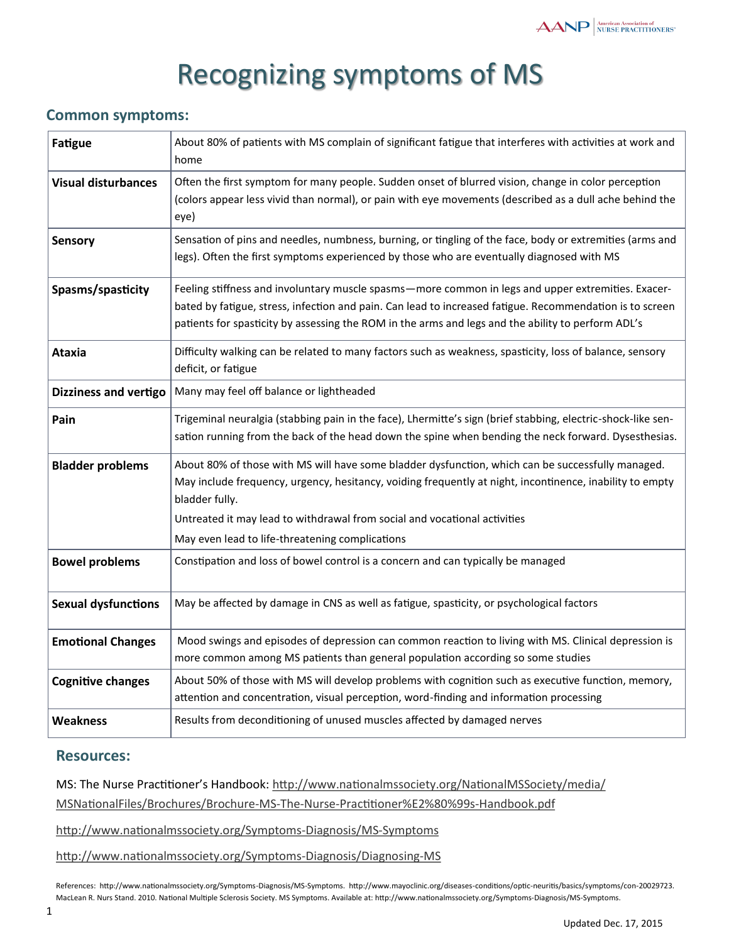## Recognizing symptoms of MS

## **Common symptoms:**

| <b>Fatigue</b>               | About 80% of patients with MS complain of significant fatigue that interferes with activities at work and<br>home                                                                                                                                                                                                    |
|------------------------------|----------------------------------------------------------------------------------------------------------------------------------------------------------------------------------------------------------------------------------------------------------------------------------------------------------------------|
| <b>Visual disturbances</b>   | Often the first symptom for many people. Sudden onset of blurred vision, change in color perception<br>(colors appear less vivid than normal), or pain with eye movements (described as a dull ache behind the<br>eye)                                                                                               |
| <b>Sensory</b>               | Sensation of pins and needles, numbness, burning, or tingling of the face, body or extremities (arms and<br>legs). Often the first symptoms experienced by those who are eventually diagnosed with MS                                                                                                                |
| Spasms/spasticity            | Feeling stiffness and involuntary muscle spasms-more common in legs and upper extremities. Exacer-<br>bated by fatigue, stress, infection and pain. Can lead to increased fatigue. Recommendation is to screen<br>patients for spasticity by assessing the ROM in the arms and legs and the ability to perform ADL's |
| <b>Ataxia</b>                | Difficulty walking can be related to many factors such as weakness, spasticity, loss of balance, sensory<br>deficit, or fatigue                                                                                                                                                                                      |
| <b>Dizziness and vertigo</b> | Many may feel off balance or lightheaded                                                                                                                                                                                                                                                                             |
| Pain                         | Trigeminal neuralgia (stabbing pain in the face), Lhermitte's sign (brief stabbing, electric-shock-like sen-<br>sation running from the back of the head down the spine when bending the neck forward. Dysesthesias.                                                                                                 |
| <b>Bladder problems</b>      | About 80% of those with MS will have some bladder dysfunction, which can be successfully managed.<br>May include frequency, urgency, hesitancy, voiding frequently at night, incontinence, inability to empty<br>bladder fully.                                                                                      |
|                              | Untreated it may lead to withdrawal from social and vocational activities<br>May even lead to life-threatening complications                                                                                                                                                                                         |
| <b>Bowel problems</b>        | Constipation and loss of bowel control is a concern and can typically be managed                                                                                                                                                                                                                                     |
| <b>Sexual dysfunctions</b>   | May be affected by damage in CNS as well as fatigue, spasticity, or psychological factors                                                                                                                                                                                                                            |
| <b>Emotional Changes</b>     | Mood swings and episodes of depression can common reaction to living with MS. Clinical depression is<br>more common among MS patients than general population according so some studies                                                                                                                              |
| <b>Cognitive changes</b>     | About 50% of those with MS will develop problems with cognition such as executive function, memory,<br>attention and concentration, visual perception, word-finding and information processing                                                                                                                       |
| <b>Weakness</b>              | Results from deconditioning of unused muscles affected by damaged nerves                                                                                                                                                                                                                                             |

## **Resources:**

MS: The Nurse Practitioner's Handbook: [http://www.nationalmssociety.org/NationalMSSociety/media/](http://www.nationalmssociety.org/NationalMSSociety/media/MSNationalFiles/Brochures/Brochure-MS-The-Nurse-Practitioner%E2%80%99s-Handbook.pdf)

[MSNationalFiles/Brochures/Brochure](http://www.nationalmssociety.org/NationalMSSociety/media/MSNationalFiles/Brochures/Brochure-MS-The-Nurse-Practitioner%E2%80%99s-Handbook.pdf)-MS-The-Nurse-Practitioner%E2%80%99s-Handbook.pdf

[http://www.nationalmssociety.org/Symptoms](http://www.nationalmssociety.org/Symptoms-Diagnosis/MS-Symptoms)-Diagnosis/MS-Symptoms

[http://www.nationalmssociety.org/Symptoms](http://www.nationalmssociety.org/Symptoms-Diagnosis/Diagnosing-MS)-Diagnosis/Diagnosing-MS

References: http://www.nationalmssociety.org/Symptoms-Diagnosis/MS-Symptoms. http://www.mayoclinic.org/diseases-conditions/optic-neuritis/basics/symptoms/con-20029723. MacLean R. Nurs Stand. 2010. National Multiple Sclerosis Society. MS Symptoms. Available at: http://www.nationalmssociety.org/Symptoms‐Diagnosis/MS‐Symptoms.